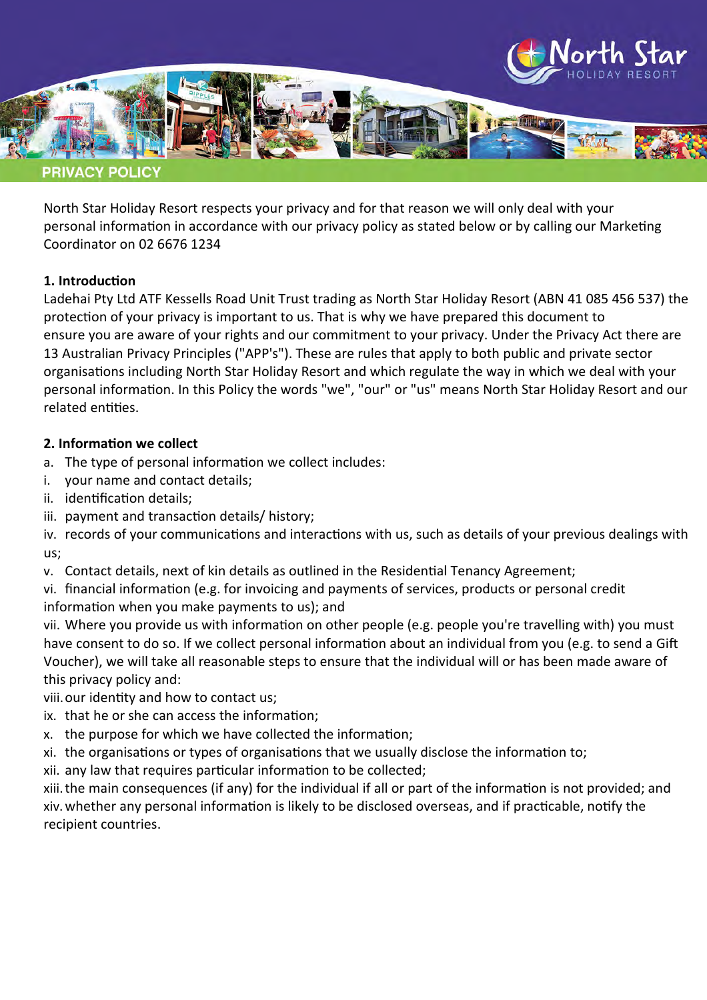

North Star Holiday Resort respects your privacy and for that reason we will only deal with your personal information in accordance with our privacy policy as stated below or by calling our Marketing Coordinator on 02 6676 1234

### 1. Introduction

Ladehai Pty Ltd ATF Kessells Road Unit Trust trading as North Star Holiday Resort (ABN 41 085 456 537) the protection of your privacy is important to us. That is why we have prepared this document to ensure you are aware of your rights and our commitment to your privacy. Under the Privacy Act there are 13 Australian Privacy Principles ("APP's"). These are rules that apply to both public and private sector organisations including North Star Holiday Resort and which regulate the way in which we deal with your personal information. In this Policy the words "we", "our" or "us" means North Star Holiday Resort and our related entities.

### 2. Information we collect

- a. The type of personal information we collect includes:
- i. your name and contact details;
- ii. identification details;
- iii. payment and transaction details/ history:

iv. records of your communications and interactions with us, such as details of your previous dealings with us;

v. Contact details, next of kin details as outlined in the Residential Tenancy Agreement;

vi. financial information (e.g. for invoicing and payments of services, products or personal credit information when you make payments to us); and

vii. Where you provide us with information on other people (e.g. people you're travelling with) you must have consent to do so. If we collect personal information about an individual from you (e.g. to send a Gift Voucher), we will take all reasonable steps to ensure that the individual will or has been made aware of this privacy policy and:

viii. our identity and how to contact us;

- ix. that he or she can access the information;
- x. the purpose for which we have collected the information;
- xi. the organisations or types of organisations that we usually disclose the information to;

xii. any law that requires particular information to be collected;

xiii. the main consequences (if any) for the individual if all or part of the information is not provided; and xiv. whether any personal information is likely to be disclosed overseas, and if practicable, notify the recipient countries.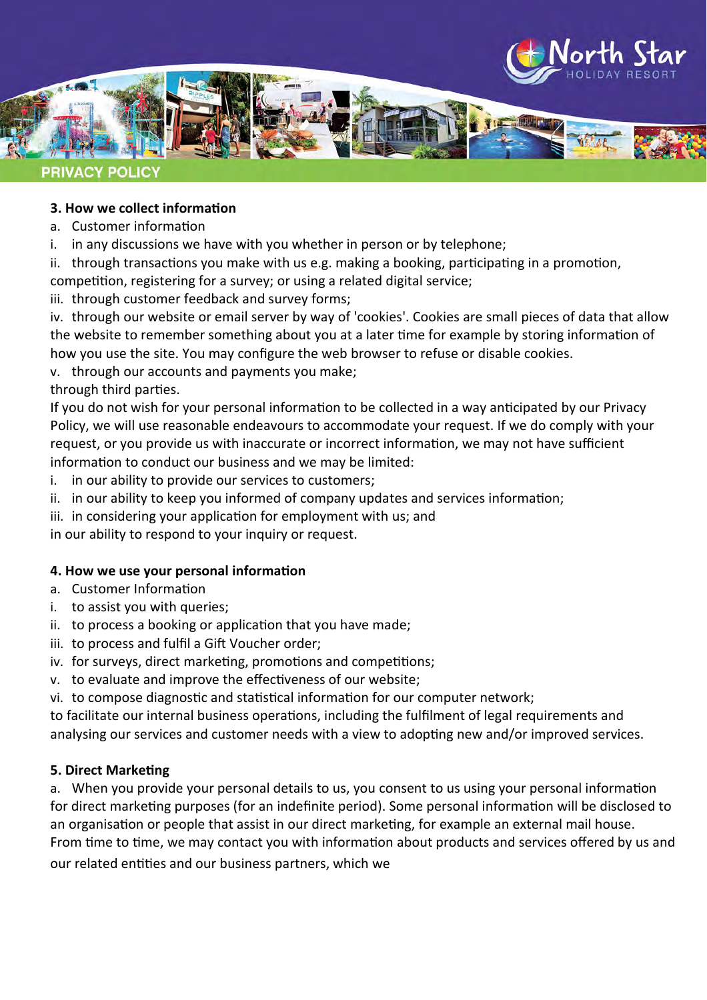

#### **PRIVACY POLICY**

# 3. How we collect information

- a. Customer information
- i. in any discussions we have with you whether in person or by telephone;

 $i$ . through transactions you make with us e.g. making a booking, participating in a promotion, competition, registering for a survey; or using a related digital service;

iii. through customer feedback and survey forms;

iv. through our website or email server by way of 'cookies'. Cookies are small pieces of data that allow the website to remember something about you at a later time for example by storing information of how you use the site. You may configure the web browser to refuse or disable cookies.

v. through our accounts and payments you make;

through third parties.

If you do not wish for your personal information to be collected in a way anticipated by our Privacy Policy, we will use reasonable endeavours to accommodate your request. If we do comply with your request, or you provide us with inaccurate or incorrect information, we may not have sufficient information to conduct our business and we may be limited:

i. in our ability to provide our services to customers;

- ii. in our ability to keep you informed of company updates and services information;
- iii. in considering your application for employment with us; and

in our ability to respond to your inquiry or request.

# 4. How we use your personal information

- a. Customer Information
- i. to assist you with queries;
- ii. to process a booking or application that you have made;
- iii. to process and fulfil a Gift Voucher order;
- iv. for surveys, direct marketing, promotions and competitions;
- v. to evaluate and improve the effectiveness of our website;
- vi. to compose diagnostic and statistical information for our computer network;

to facilitate our internal business operations, including the fulfilment of legal requirements and analysing our services and customer needs with a view to adopting new and/or improved services.

# 5. Direct Marketing

a. When you provide your personal details to us, you consent to us using your personal information for direct marketing purposes (for an indefinite period). Some personal information will be disclosed to an organisation or people that assist in our direct marketing, for example an external mail house. From time to time, we may contact you with information about products and services offered by us and our related entities and our business partners, which we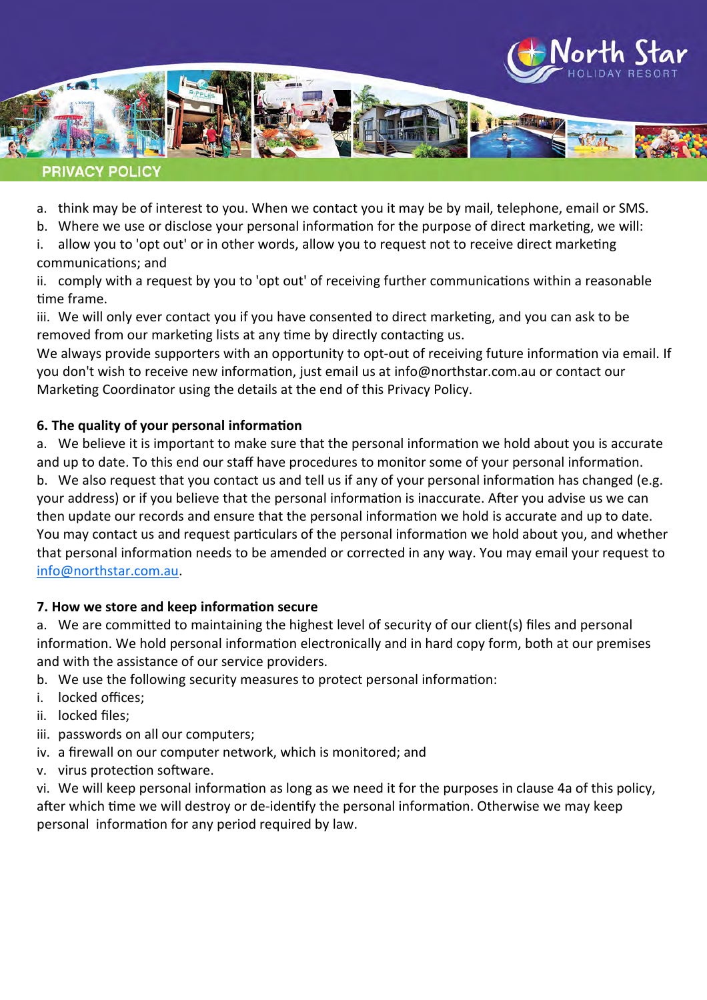



## **PRIVACY POLICY**

- a. think may be of interest to you. When we contact you it may be by mail, telephone, email or SMS.
- b. Where we use or disclose your personal information for the purpose of direct marketing, we will:
- i. allow you to 'opt out' or in other words, allow you to request not to receive direct marketing communications; and
- ii. comply with a request by you to 'opt out' of receiving further communications within a reasonable time frame.
- iii. We will only ever contact you if you have consented to direct marketing, and you can ask to be removed from our marketing lists at any time by directly contacting us.
- We always provide supporters with an opportunity to opt-out of receiving future information via email. If you don't wish to receive new information, just email us at info@northstar.com.au or contact our Marketing Coordinator using the details at the end of this Privacy Policy.

### 6. The quality of your personal information

a. We believe it is important to make sure that the personal information we hold about you is accurate and up to date. To this end our staff have procedures to monitor some of your personal information. b. We also request that you contact us and tell us if any of your personal information has changed (e.g. your address) or if you believe that the personal information is inaccurate. After you advise us we can then update our records and ensure that the personal information we hold is accurate and up to date. You may contact us and request particulars of the personal information we hold about you, and whether that personal information needs to be amended or corrected in any way. You may email your request to info@northstar.com.au.

# 7. How we store and keep information secure

a. We are committed to maintaining the highest level of security of our client(s) files and personal information. We hold personal information electronically and in hard copy form, both at our premises and with the assistance of our service providers.

- b. We use the following security measures to protect personal information:
- i. locked offices;
- ii. locked files;
- iii. passwords on all our computers;
- iv. a firewall on our computer network, which is monitored; and
- v. virus protection software.

vi. We will keep personal information as long as we need it for the purposes in clause 4a of this policy, after which time we will destroy or de-identify the personal information. Otherwise we may keep personal information for any period required by law.